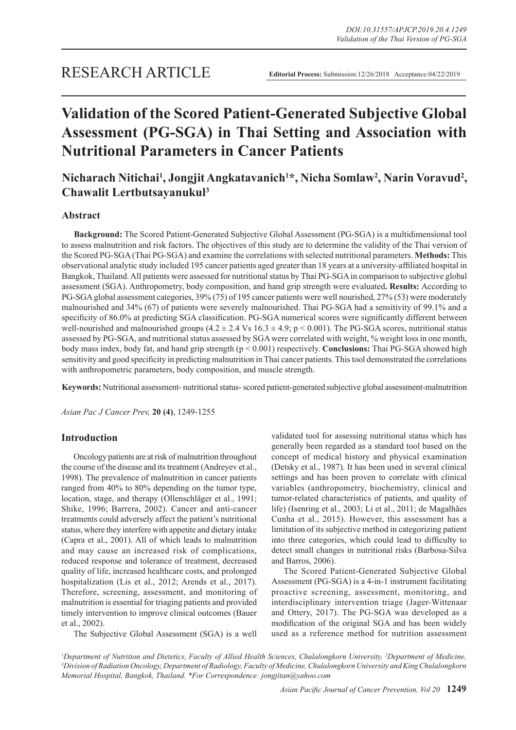# **Validation of the Scored Patient-Generated Subjective Global Assessment (PG-SGA) in Thai Setting and Association with Nutritional Parameters in Cancer Patients**

# **Nicharach Nitichai1 , Jongjit Angkatavanich1 \*, Nicha Somlaw2 , Narin Voravud2 , Chawalit Lertbutsayanukul3**

# **Abstract**

**Background:** The Scored Patient-Generated Subjective Global Assessment (PG-SGA) is a multidimensional tool to assess malnutrition and risk factors. The objectives of this study are to determine the validity of the Thai version of the Scored PG-SGA (Thai PG-SGA) and examine the correlations with selected nutritional parameters. **Methods:** This observational analytic study included 195 cancer patients aged greater than 18 years at a university-affiliated hospital in Bangkok, Thailand. All patients were assessed for nutritional status by Thai PG-SGA in comparison to subjective global assessment (SGA). Anthropometry, body composition, and hand grip strength were evaluated**. Results:** According to PG-SGA global assessment categories, 39% (75) of 195 cancer patients were well nourished, 27% (53) were moderately malnourished and 34% (67) of patients were severely malnourished. Thai PG-SGA had a sensitivity of 99.1% and a specificity of 86.0% at predicting SGA classification. PG-SGA numerical scores were significantly different between well-nourished and malnourished groups  $(4.2 \pm 2.4 \text{ Vs } 16.3 \pm 4.9; \text{ p} \le 0.001)$ . The PG-SGA scores, nutritional status assessed by PG-SGA, and nutritional status assessed by SGA were correlated with weight, % weight loss in one month, body mass index, body fat, and hand grip strength (p < 0.001) respectively. **Conclusions:** Thai PG-SGA showed high sensitivity and good specificity in predicting malnutrition in Thai cancer patients. This tool demonstrated the correlations with anthropometric parameters, body composition, and muscle strength.

**Keywords:** Nutritional assessment- nutritional status- scored patient-generated subjective global assessment-malnutrition

*Asian Pac J Cancer Prev,* **20 (4)**, 1249-1255

# **Introduction**

Oncology patients are at risk of malnutrition throughout the course of the disease and its treatment (Andreyev et al., 1998). The prevalence of malnutrition in cancer patients ranged from 40% to 80% depending on the tumor type, location, stage, and therapy (Ollenschläger et al., 1991; Shike, 1996; Barrera, 2002). Cancer and anti-cancer treatments could adversely affect the patient's nutritional status, where they interfere with appetite and dietary intake (Capra et al., 2001). All of which leads to malnutrition and may cause an increased risk of complications, reduced response and tolerance of treatment, decreased quality of life, increased healthcare costs, and prolonged hospitalization (Lis et al., 2012; Arends et al., 2017). Therefore, screening, assessment, and monitoring of malnutrition is essential for triaging patients and provided timely intervention to improve clinical outcomes (Bauer et al., 2002).

The Subjective Global Assessment (SGA) is a well

validated tool for assessing nutritional status which has generally been regarded as a standard tool based on the concept of medical history and physical examination (Detsky et al., 1987). It has been used in several clinical settings and has been proven to correlate with clinical variables (anthropometry, biochemistry, clinical and tumor-related characteristics of patients, and quality of life) (Isenring et al., 2003; Li et al., 2011; de Magalhães Cunha et al., 2015). However, this assessment has a limitation of its subjective method in categorizing patient into three categories, which could lead to difficulty to detect small changes in nutritional risks (Barbosa-Silva and Barros, 2006).

The Scored Patient-Generated Subjective Global Assessment (PG-SGA) is a 4-in-1 instrument facilitating proactive screening, assessment, monitoring, and interdisciplinary intervention triage (Jager-Wittenaar and Ottery, 2017). The PG-SGA was developed as a modification of the original SGA and has been widely used as a reference method for nutrition assessment

*1 Department of Nutrition and Dietetics, Faculty of Allied Health Sciences, Chulalongkorn University, 2 Department of Medicine, 3 Division of Radiation Oncology, Department of Radiology, Faculty of Medicine, Chulalongkorn University and King Chulalongkorn Memorial Hospital, Bangkok, Thailand. \*For Correspondence: jongjitan@yahoo.com*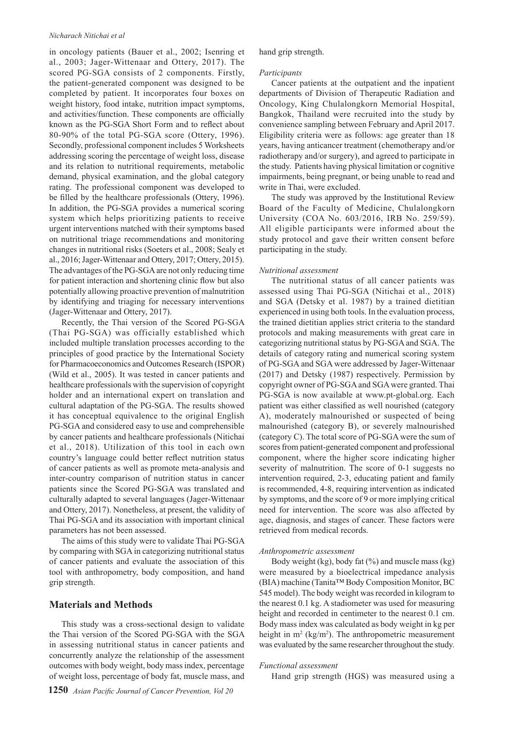#### *Nicharach Nitichai et al*

in oncology patients (Bauer et al., 2002; Isenring et al., 2003; Jager-Wittenaar and Ottery, 2017). The scored PG-SGA consists of 2 components. Firstly, the patient-generated component was designed to be completed by patient. It incorporates four boxes on weight history, food intake, nutrition impact symptoms, and activities/function. These components are officially known as the PG-SGA Short Form and to reflect about 80-90% of the total PG-SGA score (Ottery, 1996). Secondly, professional component includes 5 Worksheets addressing scoring the percentage of weight loss, disease and its relation to nutritional requirements, metabolic demand, physical examination, and the global category rating. The professional component was developed to be filled by the healthcare professionals (Ottery, 1996). In addition, the PG-SGA provides a numerical scoring system which helps prioritizing patients to receive urgent interventions matched with their symptoms based on nutritional triage recommendations and monitoring changes in nutritional risks (Soeters et al., 2008; Sealy et al., 2016; Jager-Wittenaar and Ottery, 2017; Ottery, 2015). The advantages of the PG-SGA are not only reducing time for patient interaction and shortening clinic flow but also potentially allowing proactive prevention of malnutrition by identifying and triaging for necessary interventions (Jager-Wittenaar and Ottery, 2017).

Recently, the Thai version of the Scored PG-SGA (Thai PG-SGA) was officially established which included multiple translation processes according to the principles of good practice by the International Society for Pharmacoeconomics and Outcomes Research (ISPOR) (Wild et al., 2005). It was tested in cancer patients and healthcare professionals with the supervision of copyright holder and an international expert on translation and cultural adaptation of the PG-SGA. The results showed it has conceptual equivalence to the original English PG-SGA and considered easy to use and comprehensible by cancer patients and healthcare professionals (Nitichai et al., 2018). Utilization of this tool in each own country's language could better reflect nutrition status of cancer patients as well as promote meta-analysis and inter-country comparison of nutrition status in cancer patients since the Scored PG-SGA was translated and culturally adapted to several languages (Jager-Wittenaar and Ottery, 2017). Nonetheless, at present, the validity of Thai PG-SGA and its association with important clinical parameters has not been assessed.

The aims of this study were to validate Thai PG-SGA by comparing with SGA in categorizing nutritional status of cancer patients and evaluate the association of this tool with anthropometry, body composition, and hand grip strength.

# **Materials and Methods**

This study was a cross-sectional design to validate the Thai version of the Scored PG-SGA with the SGA in assessing nutritional status in cancer patients and concurrently analyze the relationship of the assessment outcomes with body weight, body mass index, percentage of weight loss, percentage of body fat, muscle mass, and hand grip strength.

#### *Participants*

Cancer patients at the outpatient and the inpatient departments of Division of Therapeutic Radiation and Oncology, King Chulalongkorn Memorial Hospital, Bangkok, Thailand were recruited into the study by convenience sampling between February and April 2017. Eligibility criteria were as follows: age greater than 18 years, having anticancer treatment (chemotherapy and/or radiotherapy and/or surgery), and agreed to participate in the study. Patients having physical limitation or cognitive impairments, being pregnant, or being unable to read and write in Thai, were excluded.

The study was approved by the Institutional Review Board of the Faculty of Medicine, Chulalongkorn University (COA No. 603/2016, IRB No. 259/59). All eligible participants were informed about the study protocol and gave their written consent before participating in the study.

#### *Nutritional assessment*

The nutritional status of all cancer patients was assessed using Thai PG-SGA (Nitichai et al., 2018) and SGA (Detsky et al. 1987) by a trained dietitian experienced in using both tools. In the evaluation process, the trained dietitian applies strict criteria to the standard protocols and making measurements with great care in categorizing nutritional status by PG-SGA and SGA. The details of category rating and numerical scoring system of PG-SGA and SGA were addressed by Jager-Wittenaar (2017) and Detsky (1987) respectively. Permission by copyright owner of PG-SGA and SGA were granted. Thai PG-SGA is now available at www.pt-global.org. Each patient was either classified as well nourished (category A), moderately malnourished or suspected of being malnourished (category B), or severely malnourished (category C). The total score of PG-SGA were the sum of scores from patient-generated component and professional component, where the higher score indicating higher severity of malnutrition. The score of 0-1 suggests no intervention required, 2-3, educating patient and family is recommended, 4-8, requiring intervention as indicated by symptoms, and the score of 9 or more implying critical need for intervention. The score was also affected by age, diagnosis, and stages of cancer. These factors were retrieved from medical records.

#### *Anthropometric assessment*

Body weight (kg), body fat  $(\%)$  and muscle mass (kg) were measured by a bioelectrical impedance analysis (BIA) machine (Tanita™ Body Composition Monitor, BC 545 model). The body weight was recorded in kilogram to the nearest 0.1 kg. A stadiometer was used for measuring height and recorded in centimeter to the nearest 0.1 cm. Body mass index was calculated as body weight in kg per height in  $m^2$  (kg/m<sup>2</sup>). The anthropometric measurement was evaluated by the same researcher throughout the study.

#### *Functional assessment*

Hand grip strength (HGS) was measured using a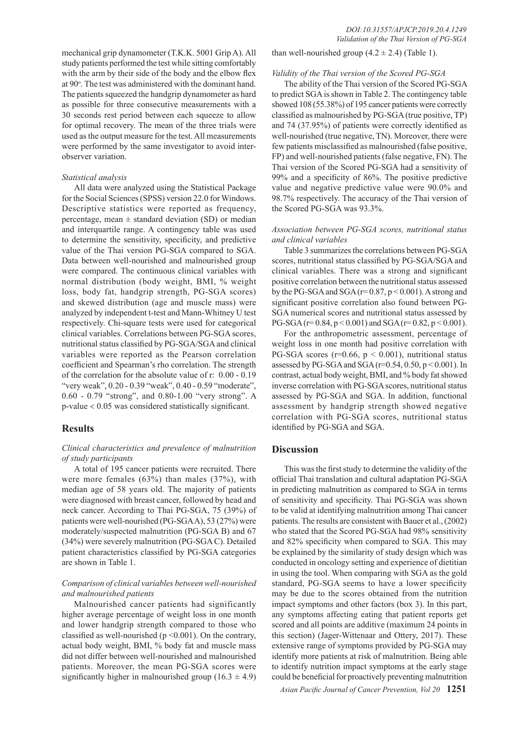mechanical grip dynamometer (T.K.K. 5001 Grip A). All study patients performed the test while sitting comfortably with the arm by their side of the body and the elbow flex at 90°. The test was administered with the dominant hand. The patients squeezed the handgrip dynamometer as hard as possible for three consecutive measurements with a 30 seconds rest period between each squeeze to allow for optimal recovery. The mean of the three trials were used as the output measure for the test. All measurements were performed by the same investigator to avoid interobserver variation.

#### *Statistical analysis*

All data were analyzed using the Statistical Package for the Social Sciences (SPSS) version 22.0 for Windows. Descriptive statistics were reported as frequency, percentage, mean  $\pm$  standard deviation (SD) or median and interquartile range. A contingency table was used to determine the sensitivity, specificity, and predictive value of the Thai version PG-SGA compared to SGA. Data between well-nourished and malnourished group were compared. The continuous clinical variables with normal distribution (body weight, BMI, % weight loss, body fat, handgrip strength, PG-SGA scores) and skewed distribution (age and muscle mass) were analyzed by independent t-test and Mann-Whitney U test respectively. Chi-square tests were used for categorical clinical variables. Correlations between PG-SGA scores, nutritional status classified by PG-SGA/SGA and clinical variables were reported as the Pearson correlation coefficient and Spearman's rho correlation. The strength of the correlation for the absolute value of r: 0.00 - 0.19 "very weak", 0.20 - 0.39 "weak", 0.40 - 0.59 "moderate", 0.60 - 0.79 "strong", and 0.80-1.00 "very strong". A p-value < 0.05 was considered statistically significant.

### **Results**

# *Clinical characteristics and prevalence of malnutrition of study participants*

A total of 195 cancer patients were recruited. There were more females (63%) than males (37%), with median age of 58 years old. The majority of patients were diagnosed with breast cancer, followed by head and neck cancer. According to Thai PG-SGA, 75 (39%) of patients were well-nourished (PG-SGA A), 53 (27%) were moderately/suspected malnutrition (PG-SGA B) and 67 (34%) were severely malnutrition (PG-SGA C). Detailed patient characteristics classified by PG-SGA categories are shown in Table 1.

# *Comparison of clinical variables between well-nourished and malnourished patients*

Malnourished cancer patients had significantly higher average percentage of weight loss in one month and lower handgrip strength compared to those who classified as well-nourished ( $p \le 0.001$ ). On the contrary, actual body weight, BMI, % body fat and muscle mass did not differ between well-nourished and malnourished patients. Moreover, the mean PG-SGA scores were significantly higher in malnourished group  $(16.3 \pm 4.9)$ 

than well-nourished group  $(4.2 \pm 2.4)$  (Table 1).

#### *Validity of the Thai version of the Scored PG-SGA*

The ability of the Thai version of the Scored PG-SGA to predict SGA is shown in Table 2. The contingency table showed 108 (55.38%) of 195 cancer patients were correctly classified as malnourished by PG-SGA (true positive, TP) and 74 (37.95%) of patients were correctly identified as well-nourished (true negative, TN). Moreover, there were few patients misclassified as malnourished (false positive, FP) and well-nourished patients (false negative, FN). The Thai version of the Scored PG-SGA had a sensitivity of 99% and a specificity of 86%. The positive predictive value and negative predictive value were 90.0% and 98.7% respectively. The accuracy of the Thai version of the Scored PG-SGA was 93.3%.

# *Association between PG-SGA scores, nutritional status and clinical variables*

Table 3 summarizes the correlations between PG-SGA scores, nutritional status classified by PG-SGA/SGA and clinical variables. There was a strong and significant positive correlation between the nutritional status assessed by the PG-SGA and SGA ( $r=0.87$ ,  $p < 0.001$ ). A strong and significant positive correlation also found between PG-SGA numerical scores and nutritional status assessed by PG-SGA ( $r= 0.84$ ,  $p < 0.001$ ) and SGA ( $r= 0.82$ ,  $p < 0.001$ ).

For the anthropometric assessment, percentage of weight loss in one month had positive correlation with PG-SGA scores ( $r=0.66$ ,  $p < 0.001$ ), nutritional status assessed by PG-SGA and SGA (r=0.54, 0.50, p < 0.001). In contrast, actual body weight, BMI, and % body fat showed inverse correlation with PG-SGA scores, nutritional status assessed by PG-SGA and SGA. In addition, functional assessment by handgrip strength showed negative correlation with PG-SGA scores, nutritional status identified by PG-SGA and SGA.

# **Discussion**

This was the first study to determine the validity of the official Thai translation and cultural adaptation PG-SGA in predicting malnutrition as compared to SGA in terms of sensitivity and specificity. Thai PG-SGA was shown to be valid at identifying malnutrition among Thai cancer patients. The results are consistent with Bauer et al., (2002) who stated that the Scored PG-SGA had 98% sensitivity and 82% specificity when compared to SGA. This may be explained by the similarity of study design which was conducted in oncology setting and experience of dietitian in using the tool. When comparing with SGA as the gold standard, PG-SGA seems to have a lower specificity may be due to the scores obtained from the nutrition impact symptoms and other factors (box 3). In this part, any symptoms affecting eating that patient reports get scored and all points are additive (maximum 24 points in this section) (Jager-Wittenaar and Ottery, 2017). These extensive range of symptoms provided by PG-SGA may identify more patients at risk of malnutrition. Being able to identify nutrition impact symptoms at the early stage could be beneficial for proactively preventing malnutrition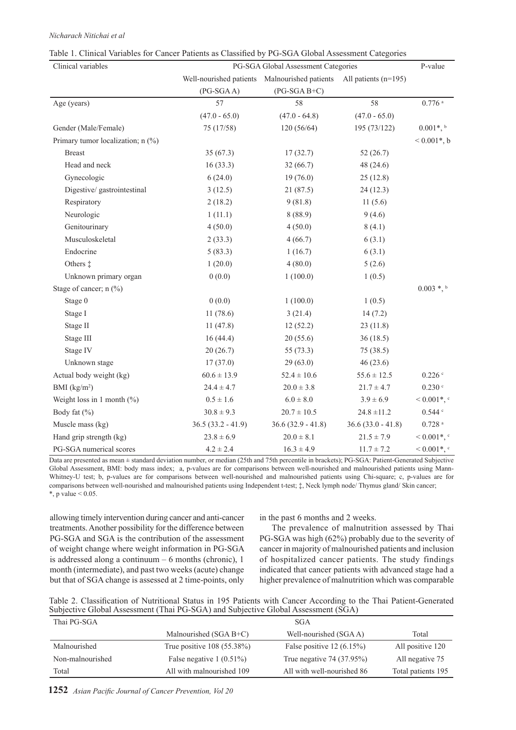# *Nicharach Nitichai et al*

| Clinical variables                | PG-SGA Global Assessment Categories |                                                                    |                     |                                     |  |  |
|-----------------------------------|-------------------------------------|--------------------------------------------------------------------|---------------------|-------------------------------------|--|--|
|                                   |                                     | Well-nourished patients Malnourished patients All patients (n=195) |                     |                                     |  |  |
|                                   | $(PG-SGAA)$                         | $(PG-SGA B+C)$                                                     |                     |                                     |  |  |
| Age (years)                       | 57                                  | 58                                                                 | 58                  | $0.776$ <sup>a</sup>                |  |  |
|                                   | $(47.0 - 65.0)$                     | $(47.0 - 64.8)$                                                    | $(47.0 - 65.0)$     |                                     |  |  |
| Gender (Male/Female)              | 75 (17/58)                          | 120(56/64)                                                         | 195 (73/122)        | $0.001*,$                           |  |  |
| Primary tumor localization; n (%) |                                     |                                                                    |                     | $< 0.001$ <sup>*</sup> , b          |  |  |
| <b>Breast</b>                     | 35(67.3)                            | 17(32.7)                                                           | 52(26.7)            |                                     |  |  |
| Head and neck                     | 16(33.3)                            | 32(66.7)                                                           | 48 (24.6)           |                                     |  |  |
| Gynecologic                       | 6(24.0)                             | 19(76.0)                                                           | 25(12.8)            |                                     |  |  |
| Digestive/ gastrointestinal       | 3(12.5)                             | 21(87.5)                                                           | 24(12.3)            |                                     |  |  |
| Respiratory                       | 2(18.2)                             | 9(81.8)                                                            | 11(5.6)             |                                     |  |  |
| Neurologic                        | 1(11.1)                             | 8(88.9)                                                            | 9(4.6)              |                                     |  |  |
| Genitourinary                     | 4(50.0)                             | 4(50.0)                                                            | 8(4.1)              |                                     |  |  |
| Musculoskeletal                   | 2(33.3)                             | 4(66.7)                                                            | 6(3.1)              |                                     |  |  |
| Endocrine                         | 5(83.3)                             | 1(16.7)                                                            | 6(3.1)              |                                     |  |  |
| Others $\ddagger$                 | 1(20.0)                             | 4(80.0)                                                            | 5(2.6)              |                                     |  |  |
| Unknown primary organ             | 0(0.0)                              | 1(100.0)                                                           | 1(0.5)              |                                     |  |  |
| Stage of cancer; n (%)            |                                     |                                                                    |                     | $0.003$ *, b                        |  |  |
| Stage 0                           | 0(0.0)                              | 1(100.0)                                                           | 1(0.5)              |                                     |  |  |
| Stage I                           | 11(78.6)                            | 3(21.4)                                                            | 14(7.2)             |                                     |  |  |
| Stage II                          | 11(47.8)                            | 12(52.2)                                                           | 23(11.8)            |                                     |  |  |
| Stage III                         | 16(44.4)                            | 20(55.6)                                                           | 36(18.5)            |                                     |  |  |
| Stage IV                          | 20(26.7)                            | 55 $(73.3)$                                                        | 75 (38.5)           |                                     |  |  |
| Unknown stage                     | 17(37.0)                            | 29(63.0)                                                           | 46(23.6)            |                                     |  |  |
| Actual body weight (kg)           | $60.6 \pm 13.9$                     | $52.4 \pm 10.6$                                                    | $55.6 \pm 12.5$     | 0.226                               |  |  |
| BMI $(kg/m2)$                     | $24.4 \pm 4.7$                      | $20.0 \pm 3.8$                                                     | $21.7 \pm 4.7$      | 0.230                               |  |  |
| Weight loss in 1 month $(\%)$     | $0.5 \pm 1.6$                       | $6.0 \pm 8.0$                                                      | $3.9 \pm 6.9$       | $0.001$ <sup>*</sup> , <sup>c</sup> |  |  |
| Body fat (%)                      | $30.8 \pm 9.3$                      | $20.7 \pm 10.5$                                                    | $24.8 \pm 11.2$     | 0.544                               |  |  |
| Muscle mass (kg)                  | $36.5(33.2 - 41.9)$                 | $36.6(32.9 - 41.8)$                                                | $36.6(33.0 - 41.8)$ | $0.728$ $^{\rm a}$                  |  |  |
| Hand grip strength (kg)           | $23.8 \pm 6.9$                      | $20.0 \pm 8.1$                                                     | $21.5 \pm 7.9$      | $0.001$ <sup>*</sup> , <sup>c</sup> |  |  |
| PG-SGA numerical scores           | $4.2 \pm 2.4$                       | $16.3 \pm 4.9$                                                     | $11.7 \pm 7.2$      | $0.001$ <sup>*</sup> , <sup>c</sup> |  |  |

|  | Table 1. Clinical Variables for Cancer Patients as Classified by PG-SGA Global Assessment Categories |  |  |  |  |
|--|------------------------------------------------------------------------------------------------------|--|--|--|--|
|  |                                                                                                      |  |  |  |  |

Data are presented as mean ± standard deviation number, or median (25th and 75th percentile in brackets); PG-SGA: Patient-Generated Subjective Global Assessment, BMI: body mass index; a, p-values are for comparisons between well-nourished and malnourished patients using Mann-Whitney-U test; b, p-values are for comparisons between well-nourished and malnourished patients using Chi-square; c, p-values are for comparisons between well-nourished and malnourished patients using Independent t-test; ‡, Neck lymph node/ Thymus gland/ Skin cancer; \*, p value  $< 0.05$ .

allowing timely intervention during cancer and anti-cancer treatments. Another possibility for the difference between PG-SGA and SGA is the contribution of the assessment of weight change where weight information in PG-SGA is addressed along a continuum – 6 months (chronic), 1 month (intermediate), and past two weeks (acute) change but that of SGA change is assessed at 2 time-points, only

in the past 6 months and 2 weeks.

The prevalence of malnutrition assessed by Thai PG-SGA was high (62%) probably due to the severity of cancer in majority of malnourished patients and inclusion of hospitalized cancer patients. The study findings indicated that cancer patients with advanced stage had a higher prevalence of malnutrition which was comparable

| Table 2. Classification of Nutritional Status in 195 Patients with Cancer According to the Thai Patient-Generated |  |  |  |  |
|-------------------------------------------------------------------------------------------------------------------|--|--|--|--|
| Subjective Global Assessment (Thai PG-SGA) and Subjective Global Assessment (SGA)                                 |  |  |  |  |

| Thai PG-SGA      |                              | <b>SGA</b>                  |                    |
|------------------|------------------------------|-----------------------------|--------------------|
|                  | Malnourished $(SGA B+C)$     | Well-nourished (SGAA)       | Total              |
| Malnourished     | True positive $108$ (55.38%) | False positive $12(6.15\%)$ | All positive 120   |
| Non-malnourished | False negative $1(0.51\%)$   | True negative 74 (37.95%)   | All negative 75    |
| Total            | All with malnourished 109    | All with well-nourished 86  | Total patients 195 |
|                  |                              |                             |                    |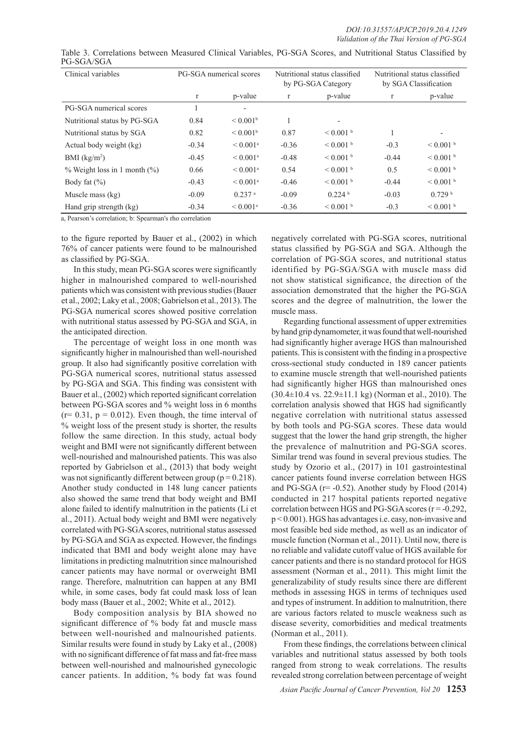| Clinical variables                  | PG-SGA numerical scores |                        | Nutritional status classified<br>by PG-SGA Category |                    | Nutritional status classified<br>by SGA Classification |                    |
|-------------------------------------|-------------------------|------------------------|-----------------------------------------------------|--------------------|--------------------------------------------------------|--------------------|
|                                     | $\mathbf{r}$            | p-value                | $\mathbf{r}$                                        | p-value            | r                                                      | p-value            |
| PG-SGA numerical scores             |                         | ٠                      |                                                     |                    |                                                        |                    |
| Nutritional status by PG-SGA        | 0.84                    | < 0.001 <sup>b</sup>   |                                                     |                    |                                                        |                    |
| Nutritional status by SGA           | 0.82                    | < 0.001 <sup>b</sup>   | 0.87                                                | $< 0.001$ b        |                                                        |                    |
| Actual body weight (kg)             | $-0.34$                 | $< 0.001$ <sup>a</sup> | $-0.36$                                             | $< 0.001$ b        | $-0.3$                                                 | $< 0.001$ b        |
| BMI $(kg/m2)$                       | $-0.45$                 | $< 0.001$ <sup>a</sup> | $-0.48$                                             | $< 0.001$ b        | $-0.44$                                                | $< 0.001$ b        |
| $\%$ Weight loss in 1 month $(\%$ ) | 0.66                    | $< 0.001$ <sup>a</sup> | 0.54                                                | $< 0.001$ b        | 0.5                                                    | $< 0.001$ b        |
| Body fat $(\% )$                    | $-0.43$                 | $< 0.001$ <sup>a</sup> | $-0.46$                                             | $< 0.001$ b        | $-0.44$                                                | $< 0.001$ b        |
| Muscle mass $(kg)$                  | $-0.09$                 | $0.237$ <sup>a</sup>   | $-0.09$                                             | 0.224 <sup>b</sup> | $-0.03$                                                | 0.729 <sup>b</sup> |
| Hand grip strength (kg)             | $-0.34$                 | $< 0.001$ <sup>a</sup> | $-0.36$                                             | $< 0.001$ b        | $-0.3$                                                 | $< 0.001$ b        |

Table 3. Correlations between Measured Clinical Variables, PG-SGA Scores, and Nutritional Status Classified by PG-SGA/SGA

a, Pearson's correlation; b: Spearman's rho correlation

to the figure reported by Bauer et al., (2002) in which 76% of cancer patients were found to be malnourished as classified by PG-SGA.

In this study, mean PG-SGA scores were significantly higher in malnourished compared to well-nourished patients which was consistent with previous studies (Bauer et al., 2002; Laky et al., 2008; Gabrielson et al., 2013). The PG-SGA numerical scores showed positive correlation with nutritional status assessed by PG-SGA and SGA, in the anticipated direction.

The percentage of weight loss in one month was significantly higher in malnourished than well-nourished group. It also had significantly positive correlation with PG-SGA numerical scores, nutritional status assessed by PG-SGA and SGA. This finding was consistent with Bauer et al., (2002) which reported significant correlation between PG-SGA scores and % weight loss in 6 months  $(r= 0.31, p = 0.012)$ . Even though, the time interval of % weight loss of the present study is shorter, the results follow the same direction. In this study, actual body weight and BMI were not significantly different between well-nourished and malnourished patients. This was also reported by Gabrielson et al., (2013) that body weight was not significantly different between group ( $p = 0.218$ ). Another study conducted in 148 lung cancer patients also showed the same trend that body weight and BMI alone failed to identify malnutrition in the patients (Li et al., 2011). Actual body weight and BMI were negatively correlated with PG-SGA scores, nutritional status assessed by PG-SGA and SGA as expected. However, the findings indicated that BMI and body weight alone may have limitations in predicting malnutrition since malnourished cancer patients may have normal or overweight BMI range. Therefore, malnutrition can happen at any BMI while, in some cases, body fat could mask loss of lean body mass (Bauer et al., 2002; White et al., 2012).

Body composition analysis by BIA showed no significant difference of % body fat and muscle mass between well-nourished and malnourished patients. Similar results were found in study by Laky et al., (2008) with no significant difference of fat mass and fat-free mass between well-nourished and malnourished gynecologic cancer patients. In addition, % body fat was found

negatively correlated with PG-SGA scores, nutritional status classified by PG-SGA and SGA. Although the correlation of PG-SGA scores, and nutritional status identified by PG-SGA/SGA with muscle mass did not show statistical significance, the direction of the association demonstrated that the higher the PG-SGA scores and the degree of malnutrition, the lower the muscle mass.

Regarding functional assessment of upper extremities by hand grip dynamometer, it was found that well-nourished had significantly higher average HGS than malnourished patients. This is consistent with the finding in a prospective cross-sectional study conducted in 189 cancer patients to examine muscle strength that well-nourished patients had significantly higher HGS than malnourished ones  $(30.4\pm10.4 \text{ vs. } 22.9\pm11.1 \text{ kg})$  (Norman et al., 2010). The correlation analysis showed that HGS had significantly negative correlation with nutritional status assessed by both tools and PG-SGA scores. These data would suggest that the lower the hand grip strength, the higher the prevalence of malnutrition and PG-SGA scores. Similar trend was found in several previous studies. The study by Ozorio et al., (2017) in 101 gastrointestinal cancer patients found inverse correlation between HGS and PG-SGA ( $r = -0.52$ ). Another study by Flood (2014) conducted in 217 hospital patients reported negative correlation between HGS and PG-SGA scores  $(r = -0.292)$ , p < 0.001). HGS has advantages i.e. easy, non-invasive and most feasible bed side method, as well as an indicator of muscle function (Norman et al., 2011). Until now, there is no reliable and validate cutoff value of HGS available for cancer patients and there is no standard protocol for HGS assessment (Norman et al., 2011). This might limit the generalizability of study results since there are different methods in assessing HGS in terms of techniques used and types of instrument. In addition to malnutrition, there are various factors related to muscle weakness such as disease severity, comorbidities and medical treatments (Norman et al., 2011).

From these findings, the correlations between clinical variables and nutritional status assessed by both tools ranged from strong to weak correlations. The results revealed strong correlation between percentage of weight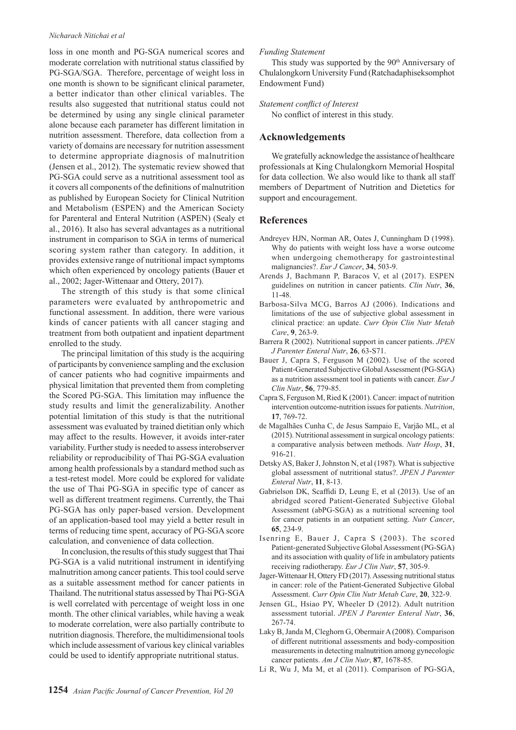#### *Nicharach Nitichai et al*

loss in one month and PG-SGA numerical scores and moderate correlation with nutritional status classified by PG-SGA/SGA. Therefore, percentage of weight loss in one month is shown to be significant clinical parameter, a better indicator than other clinical variables. The results also suggested that nutritional status could not be determined by using any single clinical parameter alone because each parameter has different limitation in nutrition assessment. Therefore, data collection from a variety of domains are necessary for nutrition assessment to determine appropriate diagnosis of malnutrition (Jensen et al., 2012). The systematic review showed that PG-SGA could serve as a nutritional assessment tool as it covers all components of the definitions of malnutrition as published by European Society for Clinical Nutrition and Metabolism (ESPEN) and the American Society for Parenteral and Enteral Nutrition (ASPEN) (Sealy et al., 2016). It also has several advantages as a nutritional instrument in comparison to SGA in terms of numerical scoring system rather than category. In addition, it provides extensive range of nutritional impact symptoms which often experienced by oncology patients (Bauer et al., 2002; Jager-Wittenaar and Ottery, 2017).

The strength of this study is that some clinical parameters were evaluated by anthropometric and functional assessment. In addition, there were various kinds of cancer patients with all cancer staging and treatment from both outpatient and inpatient department enrolled to the study.

The principal limitation of this study is the acquiring of participants by convenience sampling and the exclusion of cancer patients who had cognitive impairments and physical limitation that prevented them from completing the Scored PG-SGA. This limitation may influence the study results and limit the generalizability. Another potential limitation of this study is that the nutritional assessment was evaluated by trained dietitian only which may affect to the results. However, it avoids inter-rater variability. Further study is needed to assess interobserver reliability or reproducibility of Thai PG-SGA evaluation among health professionals by a standard method such as a test-retest model. More could be explored for validate the use of Thai PG-SGA in specific type of cancer as well as different treatment regimens. Currently, the Thai PG-SGA has only paper-based version. Development of an application-based tool may yield a better result in terms of reducing time spent, accuracy of PG-SGA score calculation, and convenience of data collection.

In conclusion, the results of this study suggest that Thai PG-SGA is a valid nutritional instrument in identifying malnutrition among cancer patients. This tool could serve as a suitable assessment method for cancer patients in Thailand. The nutritional status assessed by Thai PG-SGA is well correlated with percentage of weight loss in one month. The other clinical variables, while having a weak to moderate correlation, were also partially contribute to nutrition diagnosis. Therefore, the multidimensional tools which include assessment of various key clinical variables could be used to identify appropriate nutritional status.

### *Funding Statement*

This study was supported by the  $90<sup>th</sup>$  Anniversary of Chulalongkorn University Fund (Ratchadaphiseksomphot Endowment Fund)

#### *Statement conflict of Interest*

No conflict of interest in this study.

# **Acknowledgements**

We gratefully acknowledge the assistance of healthcare professionals at King Chulalongkorn Memorial Hospital for data collection. We also would like to thank all staff members of Department of Nutrition and Dietetics for support and encouragement.

#### **References**

- Andreyev HJN, Norman AR, Oates J, Cunningham D (1998). Why do patients with weight loss have a worse outcome when undergoing chemotherapy for gastrointestinal malignancies?. *Eur J Cancer*, **34**, 503-9.
- Arends J, Bachmann P, Baracos V, et al (2017). ESPEN guidelines on nutrition in cancer patients. *Clin Nutr*, **36**, 11-48.
- Barbosa-Silva MCG, Barros AJ (2006). Indications and limitations of the use of subjective global assessment in clinical practice: an update. *Curr Opin Clin Nutr Metab Care*, **9**, 263-9.
- Barrera R (2002). Nutritional support in cancer patients. *JPEN J Parenter Enteral Nutr*, **26**, 63-S71.
- Bauer J, Capra S, Ferguson M (2002). Use of the scored Patient-Generated Subjective Global Assessment (PG-SGA) as a nutrition assessment tool in patients with cancer. *Eur J Clin Nutr*, **56**, 779-85.
- Capra S, Ferguson M, Ried K (2001). Cancer: impact of nutrition intervention outcome-nutrition issues for patients. *Nutrition*, **17**, 769-72.
- de Magalhães Cunha C, de Jesus Sampaio E, Varjão ML, et al (2015). Nutritional assessment in surgical oncology patients: a comparative analysis between methods. *Nutr Hosp*, **31**, 916-21.
- Detsky AS, Baker J, Johnston N, et al (1987). What is subjective global assessment of nutritional status?. *JPEN J Parenter Enteral Nutr*, **11**, 8-13.
- Gabrielson DK, Scaffidi D, Leung E, et al (2013). Use of an abridged scored Patient-Generated Subjective Global Assessment (abPG-SGA) as a nutritional screening tool for cancer patients in an outpatient setting. *Nutr Cancer*, **65**, 234-9.
- Isenring E, Bauer J, Capra S (2003). The scored Patient-generated Subjective Global Assessment (PG-SGA) and its association with quality of life in ambulatory patients receiving radiotherapy. *Eur J Clin Nutr*, **57**, 305-9.
- Jager-Wittenaar H, Ottery FD (2017). Assessing nutritional status in cancer: role of the Patient-Generated Subjective Global Assessment. *Curr Opin Clin Nutr Metab Care*, **20**, 322-9.
- Jensen GL, Hsiao PY, Wheeler D (2012). Adult nutrition assessment tutorial. *JPEN J Parenter Enteral Nutr*, **36**, 267-74.
- Laky B, Janda M, Cleghorn G, Obermair A (2008). Comparison of different nutritional assessments and body-composition measurements in detecting malnutrition among gynecologic cancer patients. *Am J Clin Nutr*, **87**, 1678-85.
- Li R, Wu J, Ma M, et al (2011). Comparison of PG-SGA,